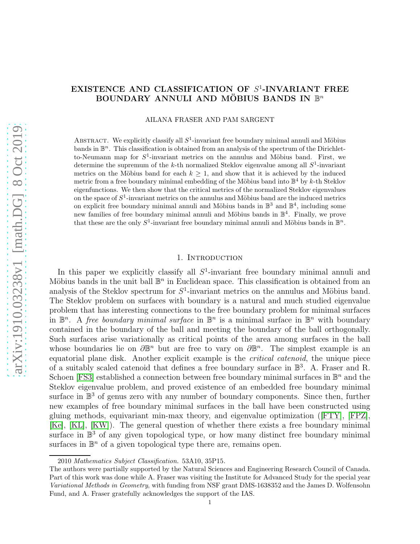# EXISTENCE AND CLASSIFICATION OF  $S^1$ -INVARIANT FREE BOUNDARY ANNULI AND MÖBIUS BANDS IN  $\mathbb{B}^n$

AILANA FRASER AND PAM SARGENT

ABSTRACT. We explicitly classify all  $S^1$ -invariant free boundary minimal annuli and Möbius bands in  $\mathbb{B}^n$ . This classification is obtained from an analysis of the spectrum of the Dirichletto-Neumann map for  $S^1$ -invariant metrics on the annulus and Möbius band. First, we determine the supremum of the k-th normalized Steklov eigenvalue among all  $S^1$ -invariant metrics on the Möbius band for each  $k \geq 1$ , and show that it is achieved by the induced metric from a free boundary minimal embedding of the Möbius band into  $\mathbb{B}^4$  by k-th Steklov eigenfunctions. We then show that the critical metrics of the normalized Steklov eigenvalues on the space of  $S^1$ -invariant metrics on the annulus and Möbius band are the induced metrics on explicit free boundary minimal annuli and Möbius bands in  $\mathbb{B}^3$  and  $\mathbb{B}^4$ , including some new families of free boundary minimal annuli and Möbius bands in  $\mathbb{B}^4$ . Finally, we prove that these are the only  $S^1$ -invariant free boundary minimal annuli and Möbius bands in  $\mathbb{B}^n$ .

### 1. INTRODUCTION

<span id="page-0-0"></span>In this paper we explicitly classify all  $S<sup>1</sup>$ -invariant free boundary minimal annuli and Möbius bands in the unit ball  $\mathbb{B}^n$  in Euclidean space. This classification is obtained from an analysis of the Steklov spectrum for  $S^1$ -invariant metrics on the annulus and Möbius band. The Steklov problem on surfaces with boundary is a natural and much studied eigenvalue problem that has interesting connections to the free boundary problem for minimal surfaces in  $\mathbb{B}^n$ . A free boundary minimal surface in  $\mathbb{B}^n$  is a minimal surface in  $\mathbb{B}^n$  with boundary contained in the boundary of the ball and meeting the boundary of the ball orthogonally. Such surfaces arise variationally as critical points of the area among surfaces in the ball whose boundaries lie on  $\partial \mathbb{B}^n$  but are free to vary on  $\partial \mathbb{B}^n$ . The simplest example is an equatorial plane disk. Another explicit example is the critical catenoid, the unique piece of a suitably scaled catenoid that defines a free boundary surface in  $\mathbb{B}^3$ . A. Fraser and R. Schoen [\[FS3\]](#page-17-0) established a connection between free boundary minimal surfaces in  $\mathbb{B}^n$  and the Steklov eigenvalue problem, and proved existence of an embedded free boundary minimal surface in  $\mathbb{B}^3$  of genus zero with any number of boundary components. Since then, further new examples of free boundary minimal surfaces in the ball have been constructed using gluing methods, equivariant min-max theory, and eigenvalue optimization ([\[FTY\]](#page-17-1), [\[FPZ\]](#page-17-2), [\[Ke\]](#page-18-0), [\[KL\]](#page-18-1), [\[KW\]](#page-18-2)). The general question of whether there exists a free boundary minimal surface in  $\mathbb{B}^3$  of any given topological type, or how many distinct free boundary minimal surfaces in  $\mathbb{B}^n$  of a given topological type there are, remains open.

<sup>2010</sup> Mathematics Subject Classification. 53A10, 35P15.

The authors were partially supported by the Natural Sciences and Engineering Research Council of Canada. Part of this work was done while A. Fraser was visiting the Institute for Advanced Study for the special year Variational Methods in Geometry, with funding from NSF grant DMS-1638352 and the James D. Wolfensohn Fund, and A. Fraser gratefully acknowledges the support of the IAS.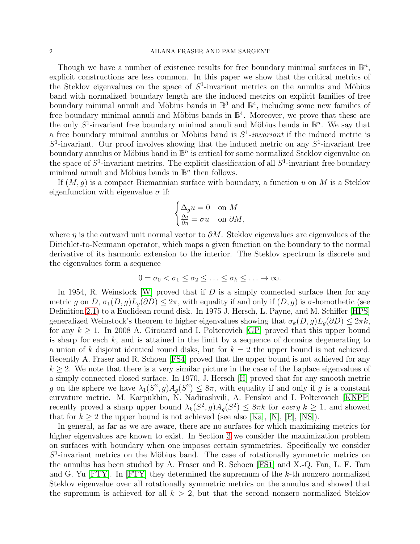### 2 AILANA FRASER AND PAM SARGENT

Though we have a number of existence results for free boundary minimal surfaces in  $\mathbb{B}^n$ , explicit constructions are less common. In this paper we show that the critical metrics of the Steklov eigenvalues on the space of  $S^1$ -invariant metrics on the annulus and Möbius band with normalized boundary length are the induced metrics on explicit families of free boundary minimal annuli and Möbius bands in  $\mathbb{B}^3$  and  $\mathbb{B}^4$ , including some new families of free boundary minimal annuli and Möbius bands in  $\mathbb{B}^4$ . Moreover, we prove that these are the only  $S^1$ -invariant free boundary minimal annuli and Möbius bands in  $\mathbb{B}^n$ . We say that a free boundary minimal annulus or Möbius band is  $S^1$ -invariant if the induced metric is  $S^1$ -invariant. Our proof involves showing that the induced metric on any  $S^1$ -invariant free boundary annulus or Möbius band in  $\mathbb{B}^n$  is critical for some normalized Steklov eigenvalue on the space of  $S^1$ -invariant metrics. The explicit classification of all  $S^1$ -invariant free boundary minimal annuli and Möbius bands in  $\mathbb{B}^n$  then follows.

If  $(M, g)$  is a compact Riemannian surface with boundary, a function u on M is a Steklov eigenfunction with eigenvalue  $\sigma$  if:

$$
\begin{cases} \Delta_g u = 0 & \text{on } M\\ \frac{\partial u}{\partial \eta} = \sigma u & \text{on } \partial M, \end{cases}
$$

where  $\eta$  is the outward unit normal vector to  $\partial M$ . Steklov eigenvalues are eigenvalues of the Dirichlet-to-Neumann operator, which maps a given function on the boundary to the normal derivative of its harmonic extension to the interior. The Steklov spectrum is discrete and the eigenvalues form a sequence

$$
0 = \sigma_0 < \sigma_1 \leq \sigma_2 \leq \ldots \leq \sigma_k \leq \ldots \to \infty.
$$

In 1954, R. Weinstock [\[W\]](#page-18-3) proved that if  $D$  is a simply connected surface then for any metric g on D,  $\sigma_1(D,g)L_q(\partial D) \leq 2\pi$ , with equality if and only if  $(D,g)$  is  $\sigma$ -homothetic (see Definition [2.1\)](#page-3-0) to a Euclidean round disk. In 1975 J. Hersch, L. Payne, and M. Schiffer [\[HPS\]](#page-18-4) generalized Weinstock's theorem to higher eigenvalues showing that  $\sigma_k(D, g)L_q(\partial D) \leq 2\pi k$ , for any  $k \geq 1$ . In 2008 A. Girouard and I. Polterovich [\[GP\]](#page-17-3) proved that this upper bound is sharp for each  $k$ , and is attained in the limit by a sequence of domains degenerating to a union of k disjoint identical round disks, but for  $k = 2$  the upper bound is not achieved. Recently A. Fraser and R. Schoen [\[FS4\]](#page-17-4) proved that the upper bound is not achieved for any  $k \geq 2$ . We note that there is a very similar picture in the case of the Laplace eigenvalues of a simply connected closed surface. In 1970, J. Hersch [\[H\]](#page-18-5) proved that for any smooth metric g on the sphere we have  $\lambda_1(S^2, g)A_g(S^2) \leq 8\pi$ , with equality if and only if g is a constant curvature metric. M. Karpukhin, N. Nadirashvili, A. Penskoi and I. Polterovich [\[KNPP\]](#page-18-6) recently proved a sharp upper bound  $\lambda_k(S^2, g)A_g(S^2) \leq 8\pi k$  for every  $k \geq 1$ , and showed that for  $k \geq 2$  the upper bound is not achieved (see also [\[Ka\]](#page-18-7), [\[N\]](#page-18-8), [\[P\]](#page-18-9), [\[NS\]](#page-18-10)).

In general, as far as we are aware, there are no surfaces for which maximizing metrics for higher eigenvalues are known to exist. In Section [3](#page-5-0) we consider the maximization problem on surfaces with boundary when one imposes certain symmetries. Specifically we consider  $S<sup>1</sup>$ -invariant metrics on the Möbius band. The case of rotationally symmetric metrics on the annulus has been studied by A. Fraser and R. Schoen [\[FS1\]](#page-17-5) and X.-Q. Fan, L. F. Tam and G. Yu  $[FTY]$ . In  $[FTY]$  they determined the supremum of the k-th nonzero normalized Steklov eigenvalue over all rotationally symmetric metrics on the annulus and showed that the supremum is achieved for all  $k > 2$ , but that the second nonzero normalized Steklov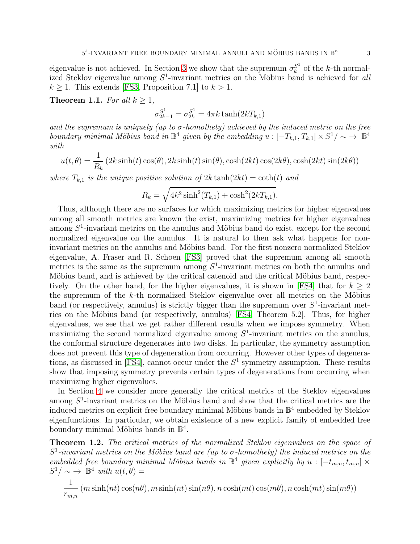eigenvalue is not achieved. In Section [3](#page-5-0) we show that the supremum  $\sigma_k^{S^1}$  $k^{S^1}$  of the k-th normalized Steklov eigenvalue among  $S^1$ -invariant metrics on the Möbius band is achieved for all  $k \geq 1$ . This extends [\[FS3,](#page-17-0) Proposition 7.1] to  $k > 1$ .

<span id="page-2-1"></span>**Theorem 1.1.** For all  $k \geq 1$ ,

$$
\sigma_{2k-1}^{S^1} = \sigma_{2k}^{S^1} = 4\pi k \tanh(2kT_{k,1})
$$

and the supremum is uniquely (up to  $\sigma$ -homothety) achieved by the induced metric on the free boundary minimal Möbius band in  $\mathbb{B}^4$  given by the embedding  $u: [-T_{k,1}, T_{k,1}] \times S^1/\sim \to \mathbb{B}^4$ with

$$
u(t,\theta) = \frac{1}{R_k} (2k \sinh(t) \cos(\theta), 2k \sinh(t) \sin(\theta), \cosh(2kt) \cos(2k\theta), \cosh(2kt) \sin(2k\theta))
$$

where  $T_{k,1}$  is the unique positive solution of  $2k \tanh(2kt) = \coth(t)$  and

$$
R_k = \sqrt{4k^2 \sinh^2(T_{k,1}) + \cosh^2(2kT_{k,1})}.
$$

Thus, although there are no surfaces for which maximizing metrics for higher eigenvalues among all smooth metrics are known the exist, maximizing metrics for higher eigenvalues among  $S^1$ -invariant metrics on the annulus and Möbius band do exist, except for the second normalized eigenvalue on the annulus. It is natural to then ask what happens for noninvariant metrics on the annulus and Möbius band. For the first nonzero normalized Steklov eigenvalue, A. Fraser and R. Schoen [\[FS3\]](#page-17-0) proved that the supremum among all smooth metrics is the same as the supremum among  $S^1$ -invariant metrics on both the annulus and Möbius band, and is achieved by the critical catenoid and the critical Möbius band, respec-tively. On the other hand, for the higher eigenvalues, it is shown in [\[FS4\]](#page-17-4) that for  $k \geq 2$ the supremum of the  $k$ -th normalized Steklov eigenvalue over all metrics on the Möbius band (or respectively, annulus) is strictly bigger than the supremum over  $S^1$ -invariant metrics on the Möbius band (or respectively, annulus)  $[FS4, Theorem 5.2]$ . Thus, for higher eigenvalues, we see that we get rather different results when we impose symmetry. When maximizing the second normalized eigenvalue among  $S<sup>1</sup>$ -invariant metrics on the annulus, the conformal structure degenerates into two disks. In particular, the symmetry assumption does not prevent this type of degeneration from occurring. However other types of degenera-tions, as discussed in [\[FS4\]](#page-17-4), cannot occur under the  $S<sup>1</sup>$  symmetry assumption. These results show that imposing symmetry prevents certain types of degenerations from occurring when maximizing higher eigenvalues.

In Section [4](#page-12-0) we consider more generally the critical metrics of the Steklov eigenvalues among  $S<sup>1</sup>$ -invariant metrics on the Möbius band and show that the critical metrics are the induced metrics on explicit free boundary minimal Möbius bands in  $\mathbb{B}^4$  embedded by Steklov eigenfunctions. In particular, we obtain existence of a new explicit family of embedded free boundary minimal Möbius bands in  $\mathbb{B}^4$ .

<span id="page-2-0"></span>Theorem 1.2. The critical metrics of the normalized Steklov eigenvalues on the space of  $S^1$ -invariant metrics on the Möbius band are (up to  $\sigma$ -homothety) the induced metrics on the embedded free boundary minimal Möbius bands in  $\mathbb{B}^4$  given explicitly by  $u : [-t_{m,n}, t_{m,n}] \times$  $S^1/\sim \rightarrow \mathbb{B}^4$  with  $u(t,\theta) =$ 

$$
\frac{1}{r_{m,n}}(m\sinh(nt)\cos(n\theta), m\sinh(nt)\sin(n\theta), n\cosh(mt)\cos(m\theta), n\cosh(mt)\sin(m\theta))
$$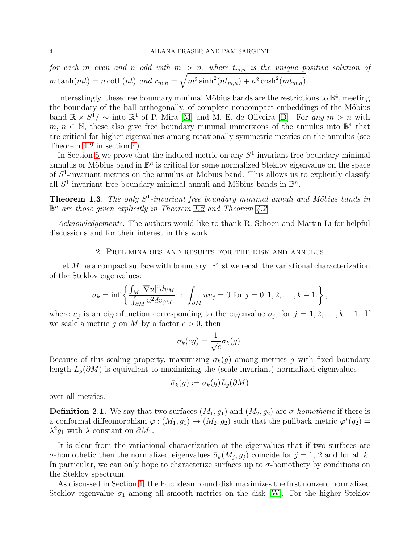for each m even and n odd with  $m > n$ , where  $t_{m,n}$  is the unique positive solution of  $m \tanh(mt) = n \coth(nt)$  and  $r_{m,n} = \sqrt{m^2 \sinh^2(nt_{m,n}) + n^2 \cosh^2(mt_{m,n})}$ .

Interestingly, these free boundary minimal Möbius bands are the restrictions to  $\mathbb{B}^4$ , meeting the boundary of the ball orthogonally, of complete noncompact embeddings of the Möbius band  $\mathbb{R} \times S^1/\sim$  into  $\mathbb{R}^4$  of P. Mira [\[M\]](#page-18-11) and M. E. de Oliveira [\[D\]](#page-17-6). For any  $m > n$  with  $m, n \in \mathbb{N}$ , these also give free boundary minimal immersions of the annulus into  $\mathbb{B}^4$  that are critical for higher eigenvalues among rotationally symmetric metrics on the annulus (see Theorem [4.2](#page-13-0) in section [4\)](#page-12-0).

In Section [5](#page-14-0) we prove that the induced metric on any  $S<sup>1</sup>$ -invariant free boundary minimal annulus or Möbius band in  $\mathbb{B}^n$  is critical for some normalized Steklov eigenvalue on the space of  $S<sup>1</sup>$ -invariant metrics on the annulus or Möbius band. This allows us to explicitly classify all  $S^1$ -invariant free boundary minimal annuli and Möbius bands in  $\mathbb{B}^n$ .

<span id="page-3-1"></span>**Theorem 1.3.** The only  $S^1$ -invariant free boundary minimal annuli and Möbius bands in  $\mathbb{B}^n$  are those given explicitly in Theorem [1.2](#page-2-0) and Theorem [4.2.](#page-13-0)

Acknowledgements. The authors would like to thank R. Schoen and Martin Li for helpful discussions and for their interest in this work.

#### 2. Preliminaries and results for the disk and annulus

Let M be a compact surface with boundary. First we recall the variational characterization of the Steklov eigenvalues:

$$
\sigma_k = \inf \left\{ \frac{\int_M |\nabla u|^2 dv_M}{\int_{\partial M} u^2 dv_{\partial M}} \; : \; \int_{\partial M} uu_j = 0 \; \text{for} \; j = 0, 1, 2, \dots, k-1. \right\},\,
$$

where  $u_j$  is an eigenfunction corresponding to the eigenvalue  $\sigma_j$ , for  $j = 1, 2, \ldots, k - 1$ . If we scale a metric g on M by a factor  $c > 0$ , then

$$
\sigma_k(cg) = \frac{1}{\sqrt{c}} \sigma_k(g).
$$

Because of this scaling property, maximizing  $\sigma_k(q)$  among metrics g with fixed boundary length  $L_g(\partial M)$  is equivalent to maximizing the (scale invariant) normalized eigenvalues

$$
\bar\sigma_k(g):=\sigma_k(g)L_g(\partial M)
$$

over all metrics.

<span id="page-3-0"></span>**Definition 2.1.** We say that two surfaces  $(M_1, g_1)$  and  $(M_2, g_2)$  are  $\sigma$ -homothetic if there is a conformal diffeomorphism  $\varphi : (M_1, g_1) \to (M_2, g_2)$  such that the pullback metric  $\varphi^*(g_2) =$  $\lambda^2 g_1$  with  $\lambda$  constant on  $\partial M_1$ .

It is clear from the variational charactization of the eigenvalues that if two surfaces are σ-homothetic then the normalized eigenvalues  $\bar{\sigma}_k(M_j, g_j)$  coincide for  $j = 1, 2$  and for all k. In particular, we can only hope to characterize surfaces up to  $\sigma$ -homothety by conditions on the Steklov spectrum.

As discussed in Section [1,](#page-0-0) the Euclidean round disk maximizes the first nonzero normalized Steklov eigenvalue  $\bar{\sigma}_1$  among all smooth metrics on the disk [\[W\]](#page-18-3). For the higher Steklov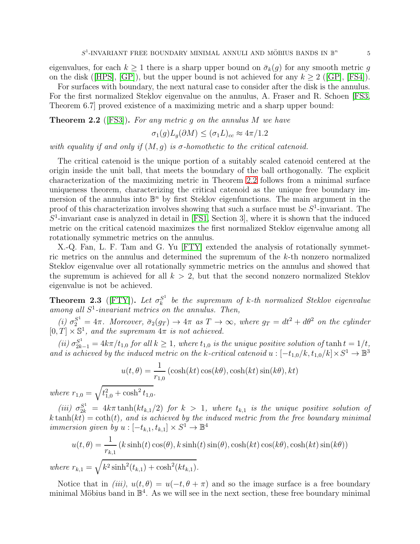eigenvalues, for each  $k \geq 1$  there is a sharp upper bound on  $\bar{\sigma}_k(g)$  for any smooth metric g on the disk ([\[HPS\]](#page-18-4), [\[GP\]](#page-17-3)), but the upper bound is not achieved for any  $k \geq 2$  ([\[GP\]](#page-17-3), [\[FS4\]](#page-17-4)).

For surfaces with boundary, the next natural case to consider after the disk is the annulus. For the first normalized Steklov eigenvalue on the annulus, A. Fraser and R. Schoen [\[FS3,](#page-17-0) Theorem 6.7] proved existence of a maximizing metric and a sharp upper bound:

<span id="page-4-0"></span>**Theorem 2.2** ([\[FS3\]](#page-17-0)). For any metric g on the annulus  $M$  we have

$$
\sigma_1(g)L_g(\partial M) \le (\sigma_1 L)_{cc} \approx 4\pi/1.2
$$

with equality if and only if  $(M, g)$  is  $\sigma$ -homothetic to the critical catenoid.

The critical catenoid is the unique portion of a suitably scaled catenoid centered at the origin inside the unit ball, that meets the boundary of the ball orthogonally. The explicit characterization of the maximizing metric in Theorem [2.2](#page-4-0) follows from a minimal surface uniqueness theorem, characterizing the critical catenoid as the unique free boundary immersion of the annulus into  $\mathbb{B}^n$  by first Steklov eigenfunctions. The main argument in the proof of this characterization involves showing that such a surface must be  $S^1$ -invariant. The  $S<sup>1</sup>$ -invariant case is analyzed in detail in [\[FS1,](#page-17-5) Section 3], where it is shown that the induced metric on the critical catenoid maximizes the first normalized Steklov eigenvalue among all rotationally symmetric metrics on the annulus.

X.-Q. Fan, L. F. Tam and G. Yu [\[FTY\]](#page-17-1) extended the analysis of rotationally symmetric metrics on the annulus and determined the supremum of the k-th nonzero normalized Steklov eigenvalue over all rotationally symmetric metrics on the annulus and showed that the supremum is achieved for all  $k > 2$ , but that the second nonzero normalized Steklov eigenvalue is not be achieved.

**Theorem 2.3** ([\[FTY\]](#page-17-1)). Let  $\sigma_k^{S^1}$  $\frac{S^1}{k}$  be the supremum of k-th normalized Steklov eigenvalue among all  $S^1$ -invariant metrics on the annulus. Then,

(i)  $\sigma_2^{S^1} = 4\pi$ . Moreover,  $\bar{\sigma}_2(g_T) \rightarrow 4\pi$  as  $T \rightarrow \infty$ , where  $g_T = dt^2 + d\theta^2$  on the cylinder  $[0, T] \times \mathbb{S}^1$ , and the supremum  $4\pi$  is not achieved.

(ii)  $\sigma_{2k-1}^{S^1} = 4k\pi/t_{1,0}$  for all  $k \ge 1$ , where  $t_{1,0}$  is the unique positive solution of  $\tanh t = 1/t$ , and is achieved by the induced metric on the k-critical catenoid  $u: [-t_{1,0}/k, t_{1,0}/k] \times S^1 \to \mathbb{B}^3$ 

$$
u(t, \theta) = \frac{1}{r_{1,0}} \left( \cosh(kt) \cos(k\theta), \cosh(kt) \sin(k\theta), kt \right)
$$

where  $r_{1,0} = \sqrt{t_{1,0}^2 + \cosh^2 t_{1,0}}$ .

(iii)  $\sigma_{2k}^{S^1} = 4k\pi \tanh(kt_{k,1}/2)$  for  $k > 1$ , where  $t_{k,1}$  is the unique positive solution of  $k \tanh(kt) = \coth(t)$ , and is achieved by the induced metric from the free boundary minimal *immersion given by*  $u : [-t_{k,1}, t_{k,1}] \times S^1 \to \mathbb{B}^4$ 

$$
u(t,\theta) = \frac{1}{r_{k,1}}(k\sinh(t)\cos(\theta), k\sinh(t)\sin(\theta), \cosh(kt)\cos(k\theta), \cosh(kt)\sin(k\theta))
$$
  
where  $r_{k,1} = \sqrt{k^2\sinh^2(t_{k,1}) + \cosh^2(kt_{k,1})}$ .

Notice that in (iii),  $u(t, \theta) = u(-t, \theta + \pi)$  and so the image surface is a free boundary minimal Möbius band in  $\mathbb{B}^4$ . As we will see in the next section, these free boundary minimal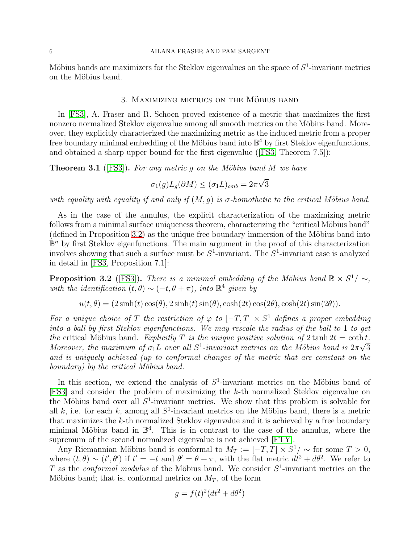### 6 AILANA FRASER AND PAM SARGENT

<span id="page-5-0"></span>Möbius bands are maximizers for the Steklov eigenvalues on the space of  $S^1$ -invariant metrics on the Möbius band.

## 3. MAXIMIZING METRICS ON THE MÖBIUS BAND

In [\[FS3\]](#page-17-0), A. Fraser and R. Schoen proved existence of a metric that maximizes the first nonzero normalized Steklov eigenvalue among all smooth metrics on the Möbius band. Moreover, they explicitly characterized the maximizing metric as the induced metric from a proper free boundary minimal embedding of the Möbius band into  $\mathbb{B}^4$  by first Steklov eigenfunctions, and obtained a sharp upper bound for the first eigenvalue ([\[FS3,](#page-17-0) Theorem 7.5]):

**Theorem 3.1** ([\[FS3\]](#page-17-0)). For any metric q on the Möbius band M we have

$$
\sigma_1(g)L_g(\partial M) \le (\sigma_1 L)_{cmb} = 2\pi\sqrt{3}
$$

with equality with equality if and only if  $(M, g)$  is  $\sigma$ -homothetic to the critical Möbius band.

As in the case of the annulus, the explicit characterization of the maximizing metric follows from a minimal surface uniqueness theorem, characterizing the "critical Möbius band"  $(defined in Proposition 3.2)$  $(defined in Proposition 3.2)$  as the unique free boundary immersion of the Möbius band into  $\mathbb{B}^n$  by first Steklov eigenfunctions. The main argument in the proof of this characterization involves showing that such a surface must be  $S^1$ -invariant. The  $S^1$ -invariant case is analyzed in detail in [\[FS3,](#page-17-0) Proposition 7.1]:

<span id="page-5-1"></span>**Proposition 3.2** ([\[FS3\]](#page-17-0)). There is a minimal embedding of the Möbius band  $\mathbb{R} \times S^1/\sim$ , with the identification  $(t, \theta) \sim (-t, \theta + \pi)$ , into  $\mathbb{R}^4$  given by

$$
u(t, \theta) = (2\sinh(t)\cos(\theta), 2\sinh(t)\sin(\theta), \cosh(2t)\cos(2\theta), \cosh(2t)\sin(2\theta)).
$$

For a unique choice of T the restriction of  $\varphi$  to  $[-T, T] \times S^1$  defines a proper embedding into a ball by first Steklov eigenfunctions. We may rescale the radius of the ball to 1 to get the critical Möbius band. Explicitly T is the unique positive solution of  $2 \tanh 2t = \coth t$ . Moreover, the maximum of  $\sigma_1 L$  over all  $S^1$ -invariant metrics on the Möbius band is  $2\pi\sqrt{3}$ and is uniquely achieved (up to conformal changes of the metric that are constant on the boundary) by the critical Möbius band.

In this section, we extend the analysis of  $S^1$ -invariant metrics on the Möbius band of [\[FS3\]](#page-17-0) and consider the problem of maximizing the k-th normalized Steklov eigenvalue on the Möbius band over all  $S^1$ -invariant metrics. We show that this problem is solvable for all  $k$ , i.e. for each  $k$ , among all  $S^1$ -invariant metrics on the Möbius band, there is a metric that maximizes the k-th normalized Steklov eigenvalue and it is achieved by a free boundary minimal Möbius band in  $\mathbb{B}^4$ . This is in contrast to the case of the annulus, where the supremum of the second normalized eigenvalue is not achieved [\[FTY\]](#page-17-1).

Any Riemannian Möbius band is conformal to  $M_T := [-T, T] \times S^1/\sim$  for some  $T > 0$ , where  $(t, \theta) \sim (t', \theta')$  if  $t' = -t$  and  $\theta' = \theta + \pi$ , with the flat metric  $dt^2 + d\theta^2$ . We refer to T as the *conformal modulus* of the Möbius band. We consider  $S^1$ -invariant metrics on the Möbius band; that is, conformal metrics on  $M_T$ , of the form

$$
g = f(t)^2(dt^2 + d\theta^2)
$$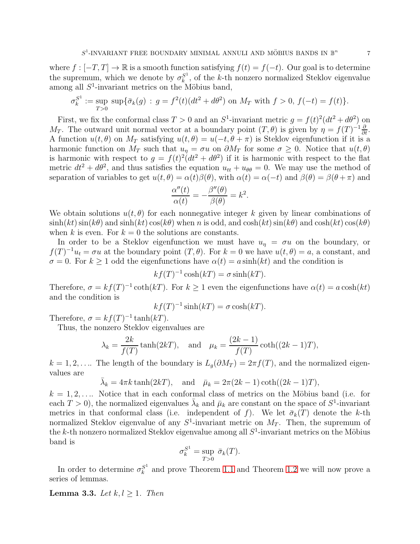where  $f : [-T, T] \to \mathbb{R}$  is a smooth function satisfying  $f(t) = f(-t)$ . Our goal is to determine the supremum, which we denote by  $\sigma_k^{S^1}$  $k<sup>S<sub>k</sub></sup>$ , of the k-th nonzero normalized Steklov eigenvalue among all  $S^1$ -invariant metrics on the Möbius band,

$$
\sigma_k^{S^1} := \sup_{T>0} \sup \{ \bar{\sigma}_k(g) : g = f^2(t) (dt^2 + d\theta^2) \text{ on } M_T \text{ with } f > 0, f(-t) = f(t) \}.
$$

First, we fix the conformal class  $T > 0$  and an  $S^1$ -invariant metric  $g = f(t)^2(dt^2 + d\theta^2)$  on M<sub>T</sub>. The outward unit normal vector at a boundary point  $(T, \theta)$  is given by  $\eta = f(T)^{-1} \frac{\partial}{\partial t}$ . A function  $u(t, \theta)$  on  $M_T$  satisfying  $u(t, \theta) = u(-t, \theta + \pi)$  is Steklov eigenfunction if it is a harmonic function on  $M_T$  such that  $u_\eta = \sigma u$  on  $\partial M_T$  for some  $\sigma \geq 0$ . Notice that  $u(t, \theta)$ is harmonic with respect to  $g = f(t)^2(dt^2 + d\theta^2)$  if it is harmonic with respect to the flat metric  $dt^2 + d\theta^2$ , and thus satisfies the equation  $u_{tt} + u_{\theta\theta} = 0$ . We may use the method of separation of variables to get  $u(t, \theta) = \alpha(t)\beta(\theta)$ , with  $\alpha(t) = \alpha(-t)$  and  $\beta(\theta) = \beta(\theta + \pi)$  and

$$
\frac{\alpha''(t)}{\alpha(t)} = -\frac{\beta''(\theta)}{\beta(\theta)} = k^2.
$$

We obtain solutions  $u(t, \theta)$  for each nonnegative integer k given by linear combinations of  $\sinh(kt)\sin(k\theta)$  and  $\sinh(kt)\cos(k\theta)$  when n is odd, and  $\cosh(kt)\sin(k\theta)$  and  $\cosh(kt)\cos(k\theta)$ when k is even. For  $k = 0$  the solutions are constants.

In order to be a Steklov eigenfunction we must have  $u_n = \sigma u$  on the boundary, or  $f(T)^{-1}u_t = \sigma u$  at the boundary point  $(T, \theta)$ . For  $k = 0$  we have  $u(t, \theta) = a$ , a constant, and  $\sigma = 0$ . For  $k \ge 1$  odd the eigenfunctions have  $\alpha(t) = a \sinh(kt)$  and the condition is

$$
kf(T)^{-1}\cosh(kT) = \sigma \sinh(kT).
$$

Therefore,  $\sigma = kf(T)^{-1} \coth(kT)$ . For  $k \ge 1$  even the eigenfunctions have  $\alpha(t) = a \cosh(kt)$ and the condition is

$$
kf(T)^{-1}\sinh(kT) = \sigma \cosh(kT).
$$

Therefore,  $\sigma = kf(T)^{-1} \tanh(kT)$ .

Thus, the nonzero Steklov eigenvalues are

$$
\lambda_k = \frac{2k}{f(T)} \tanh(2kT)
$$
, and  $\mu_k = \frac{(2k-1)}{f(T)} \coth((2k-1)T)$ ,

 $k = 1, 2, \ldots$  The length of the boundary is  $L_q(\partial M_T) = 2\pi f(T)$ , and the normalized eigenvalues are

$$
\bar{\lambda}_k = 4\pi k \tanh(2kT)
$$
, and  $\bar{\mu}_k = 2\pi (2k - 1) \coth((2k - 1)T)$ ,

 $k = 1, 2, \ldots$  Notice that in each conformal class of metrics on the Möbius band (i.e. for each  $T > 0$ ), the normalized eigenvalues  $\bar{\lambda}_k$  and  $\bar{\mu}_k$  are constant on the space of  $S^1$ -invariant metrics in that conformal class (i.e. independent of f). We let  $\bar{\sigma}_k(T)$  denote the k-th normalized Steklov eigenvalue of any  $S^1$ -invariant metric on  $M_T$ . Then, the supremum of the k-th nonzero normalized Steklov eigenvalue among all  $S^1$ -invariant metrics on the Möbius band is

$$
\sigma_k^{S^1} = \sup_{T>0} \overline{\sigma}_k(T).
$$

In order to determine  $\sigma_k^{S^1}$  $\frac{S^1}{k}$  and prove Theorem [1.1](#page-2-1) and Theorem [1.2](#page-2-0) we will now prove a series of lemmas.

### <span id="page-6-0"></span>**Lemma 3.3.** Let  $k, l \geq 1$ . Then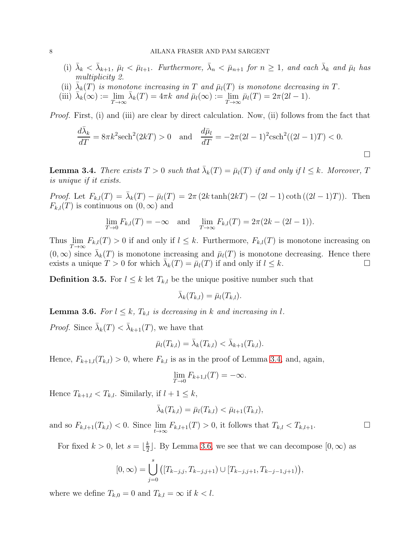- (i)  $\bar{\lambda}_k < \bar{\lambda}_{k+1}$ ,  $\bar{\mu}_l < \bar{\mu}_{l+1}$ . Furthermore,  $\bar{\lambda}_n < \bar{\mu}_{n+1}$  for  $n \geq 1$ , and each  $\bar{\lambda}_k$  and  $\bar{\mu}_l$  has multiplicity 2.
- (ii)  $\bar{\lambda}_k(T)$  is monotone increasing in T and  $\bar{\mu}_l(T)$  is monotone decreasing in T.
- (iii)  $\bar{\lambda}_k(\infty) := \lim_{T \to \infty} \bar{\lambda}_k(T) = 4\pi k$  and  $\bar{\mu}_l(\infty) := \lim_{T \to \infty} \bar{\mu}_l(T) = 2\pi(2l 1)$ .

Proof. First, (i) and (iii) are clear by direct calculation. Now, (ii) follows from the fact that

$$
\frac{d\bar{\lambda}_k}{dT} = 8\pi k^2 \text{sech}^2(2k) > 0 \quad \text{and} \quad \frac{d\bar{\mu}_l}{dT} = -2\pi (2l - 1)^2 \text{csch}^2((2l - 1)T) < 0.
$$

<span id="page-7-0"></span>**Lemma 3.4.** There exists  $T > 0$  such that  $\bar{\lambda}_k(T) = \bar{\mu}_l(T)$  if and only if  $l \leq k$ . Moreover, T is unique if it exists.

Proof. Let  $F_{k,l}(T) = \bar{\lambda}_k(T) - \bar{\mu}_l(T) = 2\pi (2k \tanh(2kT) - (2l-1)\coth((2l-1)T))$ . Then  $F_{k,l}(T)$  is continuous on  $(0,\infty)$  and

$$
\lim_{T \to 0} F_{k,l}(T) = -\infty \text{ and } \lim_{T \to \infty} F_{k,l}(T) = 2\pi (2k - (2l - 1)).
$$

Thus  $\lim_{T\to\infty} F_{k,l}(T) > 0$  if and only if  $l \leq k$ . Furthermore,  $F_{k,l}(T)$  is monotone increasing on  $(0, \infty)$  since  $\bar{\lambda}_k(T)$  is monotone increasing and  $\bar{\mu}_l(T)$  is monotone decreasing. Hence there exists a unique  $T > 0$  for which  $\bar{\lambda}_k(T) = \bar{\mu}_l(T)$  if and only if  $l \leq k$ .

**Definition 3.5.** For  $l \leq k$  let  $T_{k,l}$  be the unique positive number such that

$$
\bar{\lambda}_k(T_{k,l}) = \bar{\mu}_l(T_{k,l}).
$$

<span id="page-7-1"></span>**Lemma 3.6.** For  $l \leq k$ ,  $T_{k,l}$  is decreasing in k and increasing in l.

*Proof.* Since  $\bar{\lambda}_k(T) < \bar{\lambda}_{k+1}(T)$ , we have that

$$
\bar{\mu}_l(T_{k,l}) = \bar{\lambda}_k(T_{k,l}) < \bar{\lambda}_{k+1}(T_{k,l}).
$$

Hence,  $F_{k+1,l}(T_{k,l}) > 0$ , where  $F_{k,l}$  is as in the proof of Lemma [3.4,](#page-7-0) and, again,

$$
\lim_{T \to 0} F_{k+1,l}(T) = -\infty.
$$

Hence  $T_{k+1,l} < T_{k,l}$ . Similarly, if  $l+1 \leq k$ ,

$$
\bar{\lambda}_k(T_{k,l}) = \bar{\mu}_l(T_{k,l}) < \bar{\mu}_{l+1}(T_{k,l}),
$$

and so  $F_{k,l+1}(T_{k,l}) < 0$ . Since  $\lim_{t \to \infty} F_{k,l+1}(T) > 0$ , it follows that  $T_{k,l} < T_{k,l+1}$ .

For fixed  $k > 0$ , let  $s = \lfloor \frac{k}{2} \rfloor$  $\frac{k}{2}$ . By Lemma [3.6,](#page-7-1) we see that we can decompose  $[0, \infty)$  as

$$
[0,\infty) = \bigcup_{j=0}^{s} ([T_{k-j,j}, T_{k-j,j+1}) \cup [T_{k-j,j+1}, T_{k-j-1,j+1})),
$$

where we define  $T_{k,0} = 0$  and  $T_{k,l} = \infty$  if  $k < l$ .

 $\Box$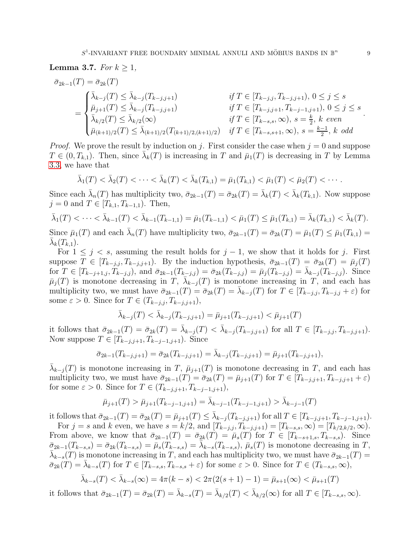<span id="page-8-0"></span>**Lemma 3.7.** For 
$$
k \geq 1
$$
,

$$
\bar{\sigma}_{2k-1}(T) = \bar{\sigma}_{2k}(T)
$$
\n
$$
= \begin{cases}\n\bar{\lambda}_{k-j}(T) \leq \bar{\lambda}_{k-j}(T_{k-j,j+1}) & \text{if } T \in [T_{k-j,j}, T_{k-j,j+1}), 0 \leq j \leq s \\
\bar{\mu}_{j+1}(T) \leq \bar{\lambda}_{k-j}(T_{k-j,j+1}) & \text{if } T \in [T_{k-j,j+1}, T_{k-j-1,j+1}), 0 \leq j \leq s \\
\bar{\lambda}_{k/2}(T) \leq \bar{\lambda}_{k/2}(\infty) & \text{if } T \in [T_{k-s,s}, \infty), s = \frac{k}{2}, k \text{ even} \\
\bar{\mu}_{(k+1)/2}(T) \leq \bar{\lambda}_{(k+1)/2}(T_{(k+1)/2,(k+1)/2}) & \text{if } T \in [T_{k-s,s+1}, \infty), s = \frac{k-1}{2}, k \text{ odd}\n\end{cases}
$$

*Proof.* We prove the result by induction on j. First consider the case when  $j = 0$  and suppose  $T \in (0, T_{k,1})$ . Then, since  $\bar{\lambda}_k(T)$  is increasing in T and  $\bar{\mu}_1(T)$  is decreasing in T by Lemma [3.3,](#page-6-0) we have that

$$
\bar{\lambda}_1(T) < \bar{\lambda}_2(T) < \cdots < \bar{\lambda}_k(T) < \bar{\lambda}_k(T_{k,1}) = \bar{\mu}_1(T_{k,1}) < \bar{\mu}_1(T) < \bar{\mu}_2(T) < \cdots
$$

Since each  $\bar{\lambda}_n(T)$  has multiplicity two,  $\bar{\sigma}_{2k-1}(T) = \bar{\sigma}_{2k}(T) = \bar{\lambda}_k(T) < \bar{\lambda}_k(T_{k,1})$ . Now suppose  $j = 0$  and  $T \in [T_{k,1}, T_{k-1,1})$ . Then,

$$
\bar{\lambda}_1(T) < \cdots < \bar{\lambda}_{k-1}(T) < \bar{\lambda}_{k-1}(T_{k-1,1}) = \bar{\mu}_1(T_{k-1,1}) < \bar{\mu}_1(T) \leq \bar{\mu}_1(T_{k,1}) = \bar{\lambda}_k(T_{k,1}) < \bar{\lambda}_k(T).
$$
\nSince  $\bar{\mu}_1(T)$  and each  $\bar{\lambda}_n(T)$  have multiplicity two,  $\bar{\sigma}_{2k-1}(T) = \bar{\sigma}_{2k}(T) = \bar{\mu}_1(T) \leq \bar{\mu}_1(T_{k,1}) = \bar{\lambda}_k(T_{k,1}).$ 

For  $1 \leq j \leq s$ , assuming the result holds for  $j-1$ , we show that it holds for j. First suppose  $T \in [T_{k-j,j}, T_{k-j,j+1})$ . By the induction hypothesis,  $\bar{\sigma}_{2k-1}(T) = \bar{\sigma}_{2k}(T) = \bar{\mu}_j(T)$ for  $T \in [T_{k-j+1,j}, T_{k-j,j})$ , and  $\bar{\sigma}_{2k-1}(T_{k-j,j}) = \bar{\sigma}_{2k}(T_{k-j,j}) = \bar{\mu}_j(T_{k-j,j}) = \bar{\lambda}_{k-j}(T_{k-j,j})$ . Since  $\bar{\mu}_j(T)$  is monotone decreasing in T,  $\bar{\lambda}_{k-j}(T)$  is monotone increasing in T, and each has multiplicity two, we must have  $\bar{\sigma}_{2k-1}(T) = \bar{\sigma}_{2k}(T) = \bar{\lambda}_{k-j}(T)$  for  $T \in [T_{k-j,j}, T_{k-j,j} + \varepsilon)$  for some  $\varepsilon > 0$ . Since for  $T \in (T_{k-j,j}, T_{k-j,j+1}),$ 

$$
\bar{\lambda}_{k-j}(T) < \bar{\lambda}_{k-j}(T_{k-j,j+1}) = \bar{\mu}_{j+1}(T_{k-j,j+1}) < \bar{\mu}_{j+1}(T)
$$

it follows that  $\bar{\sigma}_{2k-1}(T) = \bar{\sigma}_{2k}(T) = \bar{\lambda}_{k-j}(T) < \bar{\lambda}_{k-j}(T_{k-j,j+1})$  for all  $T \in [T_{k-j,j}, T_{k-j,j+1}).$ Now suppose  $T \in [T_{k-j,j+1}, T_{k-j-1,j+1})$ . Since

$$
\bar{\sigma}_{2k-1}(T_{k-j,j+1}) = \bar{\sigma}_{2k}(T_{k-j,j+1}) = \bar{\lambda}_{k-j}(T_{k-j,j+1}) = \bar{\mu}_{j+1}(T_{k-j,j+1}),
$$

 $\bar{\lambda}_{k-j}(T)$  is monotone increasing in T,  $\bar{\mu}_{j+1}(T)$  is monotone decreasing in T, and each has multiplicity two, we must have  $\bar{\sigma}_{2k-1}(T) = \bar{\sigma}_{2k}(T) = \bar{\mu}_{j+1}(T)$  for  $T \in [T_{k-j,j+1}, T_{k-j,j+1} + \varepsilon)$ for some  $\varepsilon > 0$ . Since for  $T \in (T_{k-j,j+1}, T_{k-j-1,j+1}),$ 

$$
\bar{\mu}_{j+1}(T) > \bar{\mu}_{j+1}(T_{k-j-1,j+1}) = \bar{\lambda}_{k-j-1}(T_{k-j-1,j+1}) > \bar{\lambda}_{k-j-1}(T)
$$

it follows that  $\bar{\sigma}_{2k-1}(T) = \bar{\sigma}_{2k}(T) = \bar{\mu}_{j+1}(T) \leq \bar{\lambda}_{k-j}(T_{k-j,j+1})$  for all  $T \in [T_{k-j,j+1}, T_{k-j-1,j+1}).$ 

For  $j = s$  and k even, we have  $s = k/2$ , and  $[T_{k-j,j}, T_{k-j,j+1}] = [T_{k-s,s}, \infty) = [T_{k/2,k/2}, \infty)$ . From above, we know that  $\bar{\sigma}_{2k-1}(T) = \bar{\sigma}_{2k}(T) = \bar{\mu}_s(T)$  for  $T \in [T_{k-s+1,s}, T_{k-s,s})$ . Since  $\bar{\sigma}_{2k-1}(T_{k-s,s}) = \bar{\sigma}_{2k}(T_{k-s,s}) = \bar{\mu}_s(T_{k-s,s}) = \bar{\lambda}_{k-s}(T_{k-s,s}), \bar{\mu}_s(T)$  is monotone decreasing in T,  $\bar{\lambda}_{k-s}(T)$  is monotone increasing in T, and each has multiplicity two, we must have  $\bar{\sigma}_{2k-1}(T)$  =  $\bar{\sigma}_{2k}(T) = \bar{\lambda}_{k-s}(T)$  for  $T \in [T_{k-s,s}, T_{k-s,s} + \varepsilon)$  for some  $\varepsilon > 0$ . Since for  $T \in (T_{k-s,s}, \infty)$ ,

$$
\bar{\lambda}_{k-s}(T) < \bar{\lambda}_{k-s}(\infty) = 4\pi(k-s) < 2\pi(2(s+1)-1) = \bar{\mu}_{s+1}(\infty) < \bar{\mu}_{s+1}(T)
$$

it follows that  $\bar{\sigma}_{2k-1}(T) = \bar{\sigma}_{2k}(T) = \bar{\lambda}_{k-s}(T) = \bar{\lambda}_{k/2}(T) < \bar{\lambda}_{k/2}(\infty)$  for all  $T \in [T_{k-s,s}, \infty)$ .

.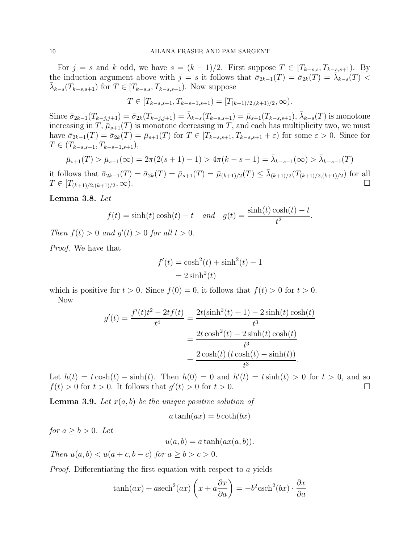For  $j = s$  and k odd, we have  $s = (k-1)/2$ . First suppose  $T \in [T_{k-s,s}, T_{k-s,s+1})$ . By the induction argument above with  $j = s$  it follows that  $\bar{\sigma}_{2k-1}(T) = \bar{\sigma}_{2k}(T) = \bar{\lambda}_{k-s}(T)$  $\bar{\lambda}_{k-s}(T_{k-s,s+1})$  for  $T \in [T_{k-s,s}, T_{k-s,s+1})$ . Now suppose

$$
T \in [T_{k-s,s+1}, T_{k-s-1,s+1}) = [T_{(k+1)/2,(k+1)/2}, \infty).
$$

Since  $\bar{\sigma}_{2k-1}(T_{k-j,j+1}) = \bar{\sigma}_{2k}(T_{k-j,j+1}) = \bar{\lambda}_{k-s}(T_{k-s,s+1}) = \bar{\mu}_{s+1}(T_{k-s,s+1}), \bar{\lambda}_{k-s}(T)$  is monotone increasing in T,  $\bar{\mu}_{s+1}(T)$  is monotone decreasing in T, and each has multiplicity two, we must have  $\bar{\sigma}_{2k-1}(T) = \bar{\sigma}_{2k}(T) = \bar{\mu}_{s+1}(T)$  for  $T \in [T_{k-s,s+1}, T_{k-s,s+1} + \varepsilon)$  for some  $\varepsilon > 0$ . Since for  $T \in (T_{k-s,s+1}, T_{k-s-1,s+1}),$ 

$$
\bar{\mu}_{s+1}(T) > \bar{\mu}_{s+1}(\infty) = 2\pi (2(s+1)-1) > 4\pi (k-s-1) = \bar{\lambda}_{k-s-1}(\infty) > \bar{\lambda}_{k-s-1}(T)
$$

it follows that  $\bar{\sigma}_{2k-1}(T) = \bar{\sigma}_{2k}(T) = \bar{\mu}_{s+1}(T) = \bar{\mu}_{(k+1)/2}(T) \le \bar{\lambda}_{(k+1)/2}(T_{(k+1)/2,(k+1)/2})$  for all  $T \in [T_{(k+1)/2,(k+1)/2},\infty)$ .

<span id="page-9-0"></span>Lemma 3.8. Let

$$
f(t) = \sinh(t)\cosh(t) - t
$$
 and  $g(t) = \frac{\sinh(t)\cosh(t) - t}{t^2}$ 

.

Then  $f(t) > 0$  and  $g'(t) > 0$  for all  $t > 0$ .

Proof. We have that

$$
f'(t) = \cosh^2(t) + \sinh^2(t) - 1
$$

$$
= 2\sinh^2(t)
$$

which is positive for  $t > 0$ . Since  $f(0) = 0$ , it follows that  $f(t) > 0$  for  $t > 0$ . Now

$$
g'(t) = \frac{f'(t)t^2 - 2tf(t)}{t^4} = \frac{2t(\sinh^2(t) + 1) - 2\sinh(t)\cosh(t)}{t^3}
$$

$$
= \frac{2t\cosh^2(t) - 2\sinh(t)\cosh(t)}{t^3}
$$

$$
= \frac{2\cosh(t)(t\cosh(t) - \sinh(t))}{t^3}.
$$

Let  $h(t) = t \cosh(t) - \sinh(t)$ . Then  $h(0) = 0$  and  $h'(t) = t \sinh(t) > 0$  for  $t > 0$ , and so  $f(t) > 0$  for  $t > 0$ . It follows that  $g'(t) > 0$  for  $t > 0$ .

<span id="page-9-1"></span>**Lemma 3.9.** Let  $x(a, b)$  be the unique positive solution of

$$
a \tanh(ax) = b \coth(bx)
$$

for  $a \geq b > 0$ . Let

$$
u(a,b) = a \tanh(ax(a,b)).
$$

Then  $u(a, b) < u(a + c, b - c)$  for  $a > b > c > 0$ .

Proof. Differentiating the first equation with respect to a yields

$$
\tanh(ax) + a \operatorname{sech}^{2}(ax)\left(x + a\frac{\partial x}{\partial a}\right) = -b^{2}\operatorname{csch}^{2}(bx) \cdot \frac{\partial x}{\partial a}
$$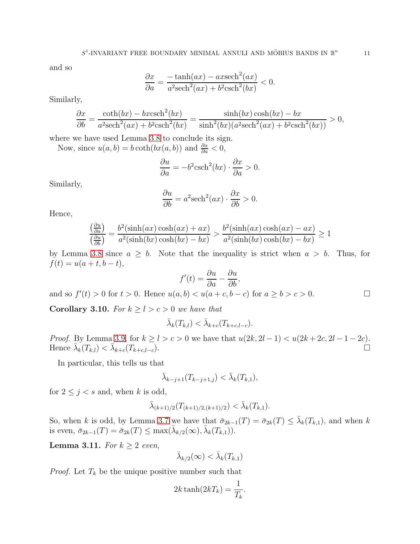and so

$$
\frac{\partial x}{\partial a} = \frac{-\tanh(ax) - ax \sech^2(ax)}{a^2 \sech^2(ax) + b^2 \csch^2(bx)} < 0.
$$

Similarly,

$$
\frac{\partial x}{\partial b} = \frac{\coth(bx) - b \operatorname{xcsch}^2(bx)}{a^2 \operatorname{sech}^2(ax) + b^2 \operatorname{csch}^2(bx)} = \frac{\sinh(bx) \cosh(bx) - bx}{\sinh^2(bx)(a^2 \operatorname{sech}^2(ax) + b^2 \operatorname{csch}^2(bx))} > 0,
$$

where we have used Lemma [3.8](#page-9-0) to conclude its sign.

Now, since  $u(a, b) = b \coth(bx(a, b))$  and  $\frac{\partial x}{\partial a} < 0$ ,

$$
\frac{\partial u}{\partial a} = -b^2 \text{csch}^2(bx) \cdot \frac{\partial x}{\partial a} > 0.
$$

Similarly,

$$
\frac{\partial u}{\partial b} = a^2 \text{sech}^2(ax) \cdot \frac{\partial x}{\partial b} > 0.
$$

Hence,

$$
\frac{\left(\frac{\partial u}{\partial a}\right)}{\left(\frac{\partial u}{\partial b}\right)} = \frac{b^2(\sinh(ax)\cosh(ax) + ax)}{a^2(\sinh(bx)\cosh(bx) - bx)} > \frac{b^2(\sinh(ax)\cosh(ax) - ax)}{a^2(\sinh(bx)\cosh(bx) - bx)} \ge 1
$$

by Lemma [3.8](#page-9-0) since  $a \geq b$ . Note that the inequality is strict when  $a > b$ . Thus, for  $f(t) = u(a + t, b - t),$ 

$$
f'(t) = \frac{\partial u}{\partial a} - \frac{\partial u}{\partial b},
$$

and so  $f'(t) > 0$  for  $t > 0$ . Hence  $u(a, b) < u(a + c, b - c)$  for  $a \ge b > c > 0$ .

<span id="page-10-0"></span>**Corollary 3.10.** For  $k \geq l > c > 0$  we have that

$$
\bar{\lambda}_k(T_{k,l}) < \bar{\lambda}_{k+c}(T_{k+c,l-c}).
$$

*Proof.* By Lemma [3.9,](#page-9-1) for  $k \ge l > c > 0$  we have that  $u(2k, 2l - 1) < u(2k + 2c, 2l - 1 - 2c)$ .<br>Hence  $\bar{\lambda}_k(T_{k,l}) < \bar{\lambda}_{k+c}(T_{k+c-l-c})$ . □ Hence  $\bar{\lambda}_k(T_{k,l}) < \bar{\lambda}_{k+c}(T_{k+c,l-c}).$ 

In particular, this tells us that

$$
\bar{\lambda}_{k-j+1}(T_{k-j+1,j}) < \bar{\lambda}_k(T_{k,1}),
$$

for  $2 \leq j < s$  and, when k is odd,

$$
\bar{\lambda}_{(k+1)/2}(T_{(k+1)/2,(k+1)/2}) < \bar{\lambda}_k(T_{k,1}).
$$

So, when k is odd, by Lemma [3.7](#page-8-0) we have that  $\bar{\sigma}_{2k-1}(T) = \bar{\sigma}_{2k}(T) \leq \bar{\lambda}_k(T_{k,1})$ , and when k is even,  $\bar{\sigma}_{2k-1}(T) = \bar{\sigma}_{2k}(T) \le \max(\bar{\lambda}_{k/2}(\infty), \bar{\lambda}_{k}(T_{k,1})).$ 

<span id="page-10-1"></span>**Lemma 3.11.** For  $k \geq 2$  even,

$$
\bar{\lambda}_{k/2}(\infty) < \bar{\lambda}_{k}(T_{k,1})
$$

*Proof.* Let  $T_k$  be the unique positive number such that

$$
2k\tanh(2kT_k) = \frac{1}{T_k}.
$$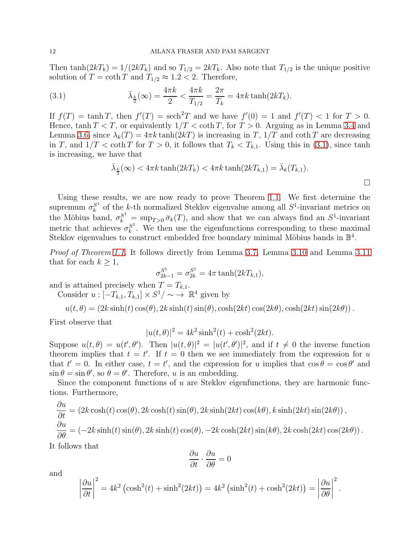Then tanh $(2kT_k) = 1/(2kT_k)$  and so  $T_{1/2} = 2kT_k$ . Also note that  $T_{1/2}$  is the unique positive solution of  $T = \coth T$  and  $T_{1/2} \approx 1.2 < 2$ . Therefore,

(3.1) 
$$
\bar{\lambda}_{\frac{k}{2}}(\infty) = \frac{4\pi k}{2} < \frac{4\pi k}{T_{1/2}} = \frac{2\pi}{T_k} = 4\pi k \tanh(2kT_k).
$$

If  $f(T) = \tanh T$ , then  $f'(T) = \operatorname{sech}^2 T$  and we have  $f'(0) = 1$  and  $f'(T) < 1$  for  $T > 0$ . Hence,  $\tanh T < T$ , or equivalently  $1/T < \coth T$ , for  $T > 0$ . Arguing as in Lemma [3.4](#page-7-0) and Lemma [3.6,](#page-7-1) since  $\lambda_k(T) = 4\pi k \tanh(2kT)$  is increasing in T,  $1/T$  and coth T are decreasing in T, and  $1/T < \coth T$  for  $T > 0$ , it follows that  $T_k < T_{k,1}$ . Using this in [\(3.1\)](#page-11-0), since tanh is increasing, we have that

<span id="page-11-0"></span>
$$
\bar{\lambda}_{\frac{k}{2}}(\infty) < 4\pi k \tanh(2kT_k) < 4\pi k \tanh(2kT_{k,1}) = \bar{\lambda}_k(T_{k,1}).
$$

Using these results, we are now ready to prove Theorem [1.1.](#page-2-1) We first determine the supremum  $\sigma_k^{S^1}$  $s<sup>1</sup>$  of the k-th normalized Steklov eigenvalue among all  $S<sup>1</sup>$ -invariant metrics on the Möbius band,  $\sigma_k^{S^1} = \sup_{T>0} \bar{\sigma}_k(T)$ , and show that we can always find an  $S^1$ -invariant metric that achieves  $\sigma_k^{S^1}$  $k<sup>S<sub>k</sub></sup>$ . We then use the eigenfunctions corresponding to these maximal Steklov eigenvalues to construct embedded free boundary minimal Möbius bands in  $\mathbb{B}^4$ .

Proof of Theorem [1.1.](#page-2-1) It follows directly from Lemma [3.7,](#page-8-0) Lemma [3.10](#page-10-0) and Lemma [3.11](#page-10-1) that for each  $k \geq 1$ ,

$$
\sigma_{2k-1}^{S^1} = \sigma_{2k}^{S^1} = 4\pi \tanh(2kT_{k,1}),
$$

and is attained precisely when  $T = T_{k,1}$ .

Consider  $u: [-T_{k,1}, T_{k,1}] \times S^1 / \sim \rightarrow \mathbb{R}^4$  given by

$$
u(t,\theta) = (2k\sinh(t)\cos(\theta), 2k\sinh(t)\sin(\theta), \cosh(2kt)\cos(2k\theta), \cosh(2kt)\sin(2k\theta)).
$$

First observe that

$$
|u(t,\theta)|^2 = 4k^2 \sinh^2(t) + \cosh^2(2kt).
$$

Suppose  $u(t, \theta) = u(t', \theta')$ . Then  $|u(t, \theta)|^2 = |u(t', \theta')|^2$ , and if  $t \neq 0$  the inverse function theorem implies that  $t = t'$ . If  $t = 0$  then we see immediately from the expression for u that  $t' = 0$ . In either case,  $t = t'$ , and the expression for u implies that  $\cos \theta = \cos \theta'$  and  $\sin \theta = \sin \theta'$ , so  $\theta = \theta'$ . Therefore, u is an embedding.

Since the component functions of  $u$  are Steklov eigenfunctions, they are harmonic functions. Furthermore,

$$
\frac{\partial u}{\partial t} = (2k \cosh(t) \cos(\theta), 2k \cosh(t) \sin(\theta), 2k \sinh(2kt) \cos(k\theta), k \sinh(2kt) \sin(2k\theta)),
$$
  

$$
\frac{\partial u}{\partial \theta} = (-2k \sinh(t) \sin(\theta), 2k \sinh(t) \cos(\theta), -2k \cosh(2kt) \sin(k\theta), 2k \cosh(2kt) \cos(2k\theta)).
$$

It follows that

$$
\frac{\partial u}{\partial t} \cdot \frac{\partial u}{\partial \theta} = 0
$$

and

$$
\left|\frac{\partial u}{\partial t}\right|^2 = 4k^2 \left(\cosh^2(t) + \sinh^2(2kt)\right) = 4k^2 \left(\sinh^2(t) + \cosh^2(2kt)\right) = \left|\frac{\partial u}{\partial \theta}\right|^2.
$$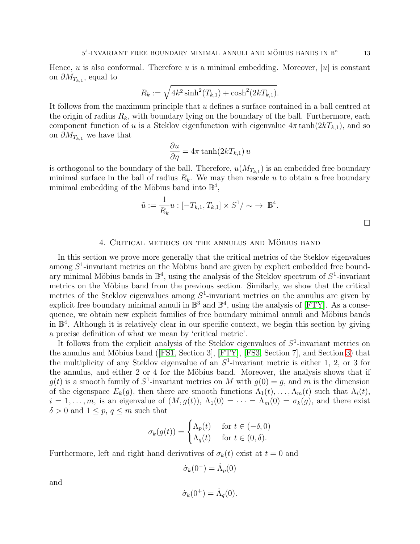Hence, u is also conformal. Therefore u is a minimal embedding. Moreover,  $|u|$  is constant on  $\partial M_{T_{k,1}},$  equal to

$$
R_k := \sqrt{4k^2 \sinh^2(T_{k,1}) + \cosh^2(2kT_{k,1})}.
$$

It follows from the maximum principle that u defines a surface contained in a ball centred at the origin of radius  $R_k$ , with boundary lying on the boundary of the ball. Furthermore, each component function of u is a Steklov eigenfunction with eigenvalue  $4\pi \tanh(2kT_{k,1})$ , and so on  $\partial M_{T_{k,1}}$  we have that

$$
\frac{\partial u}{\partial \eta} = 4\pi \tanh(2kT_{k,1}) u
$$

is orthogonal to the boundary of the ball. Therefore,  $u(M_{T_{k,1}})$  is an embedded free boundary minimal surface in the ball of radius  $R_k$ . We may then rescale u to obtain a free boundary minimal embedding of the Möbius band into  $\mathbb{B}^4$ ,

$$
\tilde{u} := \frac{1}{R_k} u : [-T_{k,1}, T_{k,1}] \times S^1 / \sim \to \mathbb{B}^4.
$$

#### 4. Critical metrics on the annulus and Möbius band

<span id="page-12-0"></span>In this section we prove more generally that the critical metrics of the Steklov eigenvalues among  $S<sup>1</sup>$ -invariant metrics on the Möbius band are given by explicit embedded free boundary minimal Möbius bands in  $\mathbb{B}^4$ , using the analysis of the Steklov spectrum of  $S^1$ -invariant metrics on the Möbius band from the previous section. Similarly, we show that the critical metrics of the Steklov eigenvalues among  $S^1$ -invariant metrics on the annulus are given by explicit free boundary minimal annuli in  $\mathbb{B}^3$  and  $\mathbb{B}^4$ , using the analysis of [\[FTY\]](#page-17-1). As a consequence, we obtain new explicit families of free boundary minimal annuli and Möbius bands in B 4 . Although it is relatively clear in our specific context, we begin this section by giving a precise definition of what we mean by 'critical metric'.

It follows from the explicit analysis of the Steklov eigenvalues of  $S<sup>1</sup>$ -invariant metrics on the annulus and Möbius band ([\[FS1,](#page-17-5) Section 3], [\[FTY\]](#page-17-1), [\[FS3,](#page-17-0) Section 7], and Section [3\)](#page-5-0) that the multiplicity of any Steklov eigenvalue of an  $S^1$ -invariant metric is either 1, 2, or 3 for the annulus, and either  $2$  or  $4$  for the Möbius band. Moreover, the analysis shows that if  $g(t)$  is a smooth family of  $S^1$ -invariant metrics on M with  $g(0) = g$ , and m is the dimension of the eigenspace  $E_k(g)$ , then there are smooth functions  $\Lambda_1(t), \ldots, \Lambda_m(t)$  such that  $\Lambda_i(t)$ ,  $i = 1, \ldots, m$ , is an eigenvalue of  $(M, g(t))$ ,  $\Lambda_1(0) = \cdots = \Lambda_m(0) = \sigma_k(g)$ , and there exist  $\delta > 0$  and  $1 \leq p, q \leq m$  such that

$$
\sigma_k(g(t)) = \begin{cases} \Lambda_p(t) & \text{for } t \in (-\delta, 0) \\ \Lambda_q(t) & \text{for } t \in (0, \delta). \end{cases}
$$

Furthermore, left and right hand derivatives of  $\sigma_k(t)$  exist at  $t = 0$  and

$$
\dot{\sigma}_k(0^-) = \dot{\Lambda}_p(0)
$$

and

$$
\dot{\sigma}_k(0^+) = \dot{\Lambda}_q(0).
$$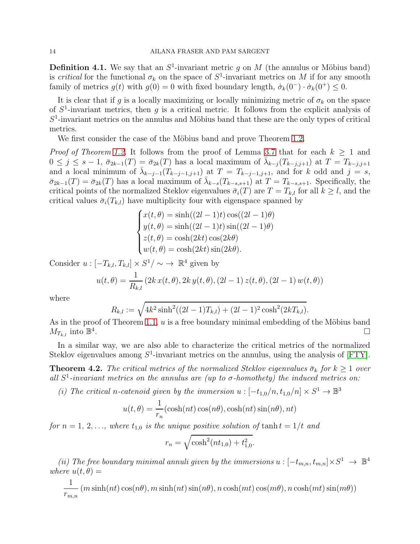**Definition 4.1.** We say that an  $S^1$ -invariant metric g on M (the annulus or Möbius band) is *critical* for the functional  $\sigma_k$  on the space of  $S^1$ -invariant metrics on M if for any smooth family of metrics  $g(t)$  with  $g(0) = 0$  with fixed boundary length,  $\dot{\sigma}_k(0^-) \cdot \dot{\sigma}_k(0^+) \leq 0$ .

It is clear that if g is a locally maximizing or locally minimizing metric of  $\sigma_k$  on the space of  $S^1$ -invariant metrics, then g is a critical metric. It follows from the explicit analysis of  $S<sup>1</sup>$ -invariant metrics on the annulus and Möbius band that these are the only types of critical metrics.

We first consider the case of the Möbius band and prove Theorem [1.2.](#page-2-0)

*Proof of Theorem [1.2.](#page-2-0)* It follows from the proof of Lemma [3.7](#page-8-0) that for each  $k \geq 1$  and  $0 \leq j \leq s-1$ ,  $\bar{\sigma}_{2k-1}(T) = \bar{\sigma}_{2k}(T)$  has a local maximum of  $\bar{\lambda}_{k-j}(T_{k-j,j+1})$  at  $T = T_{k-j,j+1}$ and a local minimum of  $\bar{\lambda}_{k-j-1}(T_{k-j-1,j+1})$  at  $T = T_{k-j-1,j+1}$ , and for k odd and  $j = s$ ,  $\bar{\sigma}_{2k-1}(T) = \bar{\sigma}_{2k}(T)$  has a local maximum of  $\bar{\lambda}_{k-s}(T_{k-s,s+1})$  at  $T = T_{k-s,s+1}$ . Specifically, the critical points of the normalized Steklov eigenvalues  $\bar{\sigma}_i(T)$  are  $T = T_{k,l}$  for all  $k \geq l$ , and the critical values  $\bar{\sigma}_i(T_{k,l})$  have multiplicity four with eigenspace spanned by

$$
\begin{cases}\nx(t,\theta) = \sinh((2l-1)t)\cos((2l-1)\theta) \\
y(t,\theta) = \sinh((2l-1)t)\sin((2l-1)\theta) \\
z(t,\theta) = \cosh(2kt)\cos(2k\theta) \\
w(t,\theta) = \cosh(2kt)\sin(2k\theta).\n\end{cases}
$$

Consider  $u: [-T_{k,l}, T_{k,l}] \times S^1/\sim \rightarrow \mathbb{R}^4$  given by

$$
u(t, \theta) = \frac{1}{R_{k,l}} (2k x(t, \theta), 2k y(t, \theta), (2l - 1) z(t, \theta), (2l - 1) w(t, \theta))
$$

where

$$
R_{k,l} := \sqrt{4k^2 \sinh^2((2l-1)T_{k,l}) + (2l-1)^2 \cosh^2(2kT_{k,l})}.
$$

As in the proof of Theorem [1.1,](#page-2-1)  $u$  is a free boundary minimal embedding of the Möbius band  $M_{T_{k,l}}$  into  $\mathbb{B}^4$ .

In a similar way, we are also able to characterize the critical metrics of the normalized Steklov eigenvalues among  $S^1$ -invariant metrics on the annulus, using the analysis of [\[FTY\]](#page-17-1).

<span id="page-13-0"></span>**Theorem 4.2.** The critical metrics of the normalized Steklov eigenvalues  $\bar{\sigma}_k$  for  $k \geq 1$  over all  $S^1$ -invariant metrics on the annulus are (up to  $\sigma$ -homothety) the induced metrics on:

(i) The critical n-catenoid given by the immersion  $u: [-t_{1,0}/n, t_{1,0}/n] \times S^1 \to \mathbb{B}^3$ 

$$
u(t, \theta) = \frac{1}{r_n} (\cosh(nt) \cos(n\theta), \cosh(nt) \sin(n\theta), nt)
$$

for  $n = 1, 2, \ldots$ , where  $t_{1,0}$  is the unique positive solution of  $t_{\text{anh}} t = 1/t$  and

$$
r_n = \sqrt{\cosh^2(nt_{1,0}) + t_{1,0}^2}.
$$

(ii) The free boundary minimal annuli given by the immersions  $u: [-t_{m,n}, t_{m,n}] \times S^1 \to \mathbb{B}^4$ where  $u(t, \theta) =$ 

$$
\frac{1}{r_{m,n}}(m\sinh(nt)\cos(n\theta), m\sinh(nt)\sin(n\theta), n\cosh(mt)\cos(m\theta), n\cosh(mt)\sin(m\theta))
$$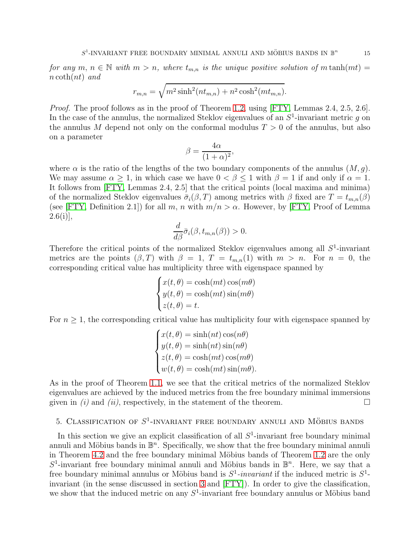for any  $m, n \in \mathbb{N}$  with  $m > n$ , where  $t_{m,n}$  is the unique positive solution of m tanh $(mt)$  =  $n \coth(nt)$  and

$$
r_{m,n} = \sqrt{m^2 \sinh^2(nt_{m,n}) + n^2 \cosh^2(mt_{m,n})}.
$$

Proof. The proof follows as in the proof of Theorem [1.2,](#page-2-0) using [\[FTY,](#page-17-1) Lemmas 2.4, 2.5, 2.6]. In the case of the annulus, the normalized Steklov eigenvalues of an  $S^1$ -invariant metric g on the annulus M depend not only on the conformal modulus  $T > 0$  of the annulus, but also on a parameter

$$
\beta = \frac{4\alpha}{(1+\alpha)^2},
$$

where  $\alpha$  is the ratio of the lengths of the two boundary components of the annulus  $(M, g)$ . We may assume  $\alpha > 1$ , in which case we have  $0 < \beta < 1$  with  $\beta = 1$  if and only if  $\alpha = 1$ . It follows from [\[FTY,](#page-17-1) Lemmas 2.4, 2.5] that the critical points (local maxima and minima) of the normalized Steklov eigenvalues  $\bar{\sigma}_i(\beta, T)$  among metrics with  $\beta$  fixed are  $T = t_{m,n}(\beta)$ (see [\[FTY,](#page-17-1) Definition 2.1]) for all m, n with  $m/n > \alpha$ . However, by [FTY, Proof of Lemma  $2.6(ii)$ ,

$$
\frac{d}{d\beta}\bar{\sigma}_i(\beta, t_{m,n}(\beta)) > 0.
$$

Therefore the critical points of the normalized Steklov eigenvalues among all  $S^1$ -invariant metrics are the points  $(\beta, T)$  with  $\beta = 1, T = t_{m,n}(1)$  with  $m > n$ . For  $n = 0$ , the corresponding critical value has multiplicity three with eigenspace spanned by

$$
\begin{cases}\nx(t,\theta) = \cosh(mt)\cos(m\theta) \\
y(t,\theta) = \cosh(mt)\sin(m\theta) \\
z(t,\theta) = t.\n\end{cases}
$$

For  $n \geq 1$ , the corresponding critical value has multiplicity four with eigenspace spanned by

$$
\begin{cases}\nx(t,\theta) = \sinh(nt)\cos(n\theta) \\
y(t,\theta) = \sinh(nt)\sin(n\theta) \\
z(t,\theta) = \cosh(mt)\cos(m\theta) \\
w(t,\theta) = \cosh(mt)\sin(m\theta)\n\end{cases}
$$

As in the proof of Theorem [1.1,](#page-2-1) we see that the critical metrics of the normalized Steklov eigenvalues are achieved by the induced metrics from the free boundary minimal immersions given in (i) and (ii), respectively, in the statement of the theorem.

# <span id="page-14-0"></span>5. CLASSIFICATION OF  $S^1$ -INVARIANT FREE BOUNDARY ANNULI AND MÖBIUS BANDS

In this section we give an explicit classification of all  $S<sup>1</sup>$ -invariant free boundary minimal annuli and Möbius bands in  $\mathbb{B}^n$ . Specifically, we show that the free boundary minimal annuli in Theorem [4.2](#page-13-0) and the free boundary minimal Möbius bands of Theorem [1.2](#page-2-0) are the only  $S^1$ -invariant free boundary minimal annuli and Möbius bands in  $\mathbb{B}^n$ . Here, we say that a free boundary minimal annulus or Möbius band is  $S^1$ -invariant if the induced metric is  $S^1$ invariant (in the sense discussed in section [3](#page-5-0) and [\[FTY\]](#page-17-1)). In order to give the classification, we show that the induced metric on any  $S^1$ -invariant free boundary annulus or Möbius band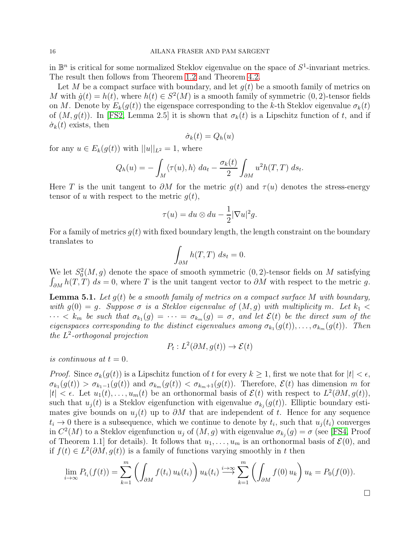in  $\mathbb{B}^n$  is critical for some normalized Steklov eigenvalue on the space of  $S^1$ -invariant metrics. The result then follows from Theorem [1.2](#page-2-0) and Theorem [4.2.](#page-13-0)

Let M be a compact surface with boundary, and let  $q(t)$  be a smooth family of metrics on M with  $g(t) = h(t)$ , where  $h(t) \in S^2(M)$  is a smooth family of symmetric  $(0, 2)$ -tensor fields on M. Denote by  $E_k(q(t))$  the eigenspace corresponding to the k-th Steklov eigenvalue  $\sigma_k(t)$ of  $(M, g(t))$ . In [\[FS2,](#page-17-7) Lemma 2.5] it is shown that  $\sigma_k(t)$  is a Lipschitz function of t, and if  $\dot{\sigma}_k(t)$  exists, then

$$
\dot{\sigma}_k(t) = Q_h(u)
$$

for any  $u \in E_k(g(t))$  with  $||u||_{L^2} = 1$ , where

$$
Q_h(u) = -\int_M \langle \tau(u), h \rangle \, da_t - \frac{\sigma_k(t)}{2} \int_{\partial M} u^2 h(T, T) \, ds_t.
$$

Here T is the unit tangent to  $\partial M$  for the metric  $g(t)$  and  $\tau(u)$  denotes the stress-energy tensor of u with respect to the metric  $q(t)$ ,

$$
\tau(u) = du \otimes du - \frac{1}{2} |\nabla u|^2 g.
$$

For a family of metrics  $g(t)$  with fixed boundary length, the length constraint on the boundary translates to

$$
\int_{\partial M} h(T,T) \, ds_t = 0.
$$

We let  $S_0^2(M, g)$  denote the space of smooth symmetric  $(0, 2)$ -tensor fields on M satisfying  $\int_{\partial M} h(T, T) ds = 0$ , where T is the unit tangent vector to  $\partial M$  with respect to the metric g.

<span id="page-15-0"></span>**Lemma 5.1.** Let  $g(t)$  be a smooth family of metrics on a compact surface M with boundary, with  $q(0) = q$ . Suppose  $\sigma$  is a Steklov eigenvalue of  $(M, q)$  with multiplicity m. Let  $k_1 <$  $\cdots < k_m$  be such that  $\sigma_{k_1}(g) = \cdots = \sigma_{k_m}(g) = \sigma$ , and let  $\mathcal{E}(t)$  be the direct sum of the eigenspaces corresponding to the distinct eigenvalues among  $\sigma_{k_1}(g(t)), \ldots, \sigma_{k_m}(g(t))$ . Then the L 2 -orthogonal projection

$$
P_t: L^2(\partial M, g(t)) \to \mathcal{E}(t)
$$

is continuous at  $t = 0$ .

*Proof.* Since  $\sigma_k(g(t))$  is a Lipschitz function of t for every  $k \geq 1$ , first we note that for  $|t| < \epsilon$ ,  $\sigma_{k_1}(g(t)) > \sigma_{k_1-1}(g(t))$  and  $\sigma_{k_m}(g(t)) < \sigma_{k_m+1}(g(t))$ . Therefore,  $\mathcal{E}(t)$  has dimension m for  $|t| < \epsilon$ . Let  $u_1(t), \ldots, u_m(t)$  be an orthonormal basis of  $\mathcal{E}(t)$  with respect to  $L^2(\partial M, g(t)),$ such that  $u_j(t)$  is a Steklov eigenfunction with eigenvalue  $\sigma_{k_j}(g(t))$ . Elliptic boundary estimates give bounds on  $u_i(t)$  up to  $\partial M$  that are independent of t. Hence for any sequence  $t_i \to 0$  there is a subsequence, which we continue to denote by  $t_i$ , such that  $u_j(t_i)$  converges in  $C^2(M)$  to a Steklov eigenfunction  $u_j$  of  $(M, g)$  with eigenvalue  $\sigma_{k_j}(g) = \sigma$  (see [\[FS4,](#page-17-4) Proof of Theorem 1.1 for details). It follows that  $u_1, \ldots, u_m$  is an orthonormal basis of  $\mathcal{E}(0)$ , and if  $f(t) \in L^2(\partial M, g(t))$  is a family of functions varying smoothly in t then

$$
\lim_{i \to \infty} P_{t_i}(f(t)) = \sum_{k=1}^m \left( \int_{\partial M} f(t_i) u_k(t_i) \right) u_k(t_i) \stackrel{i \to \infty}{\longrightarrow} \sum_{k=1}^m \left( \int_{\partial M} f(0) u_k \right) u_k = P_0(f(0)).
$$

 $\Box$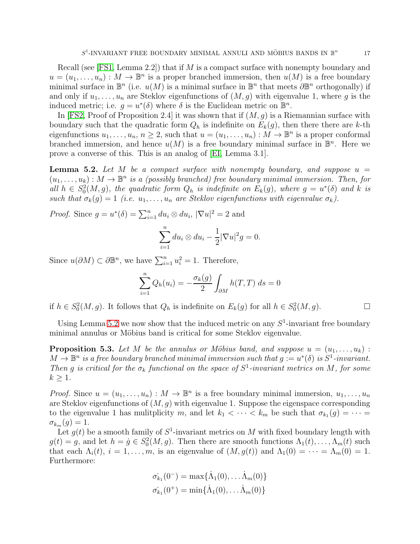Recall (see [\[FS1,](#page-17-5) Lemma 2.2]) that if  $M$  is a compact surface with nonempty boundary and  $u = (u_1, \ldots, u_n) : M \to \mathbb{B}^n$  is a proper branched immersion, then  $u(M)$  is a free boundary minimal surface in  $\mathbb{B}^n$  (i.e.  $u(M)$  is a minimal surface in  $\mathbb{B}^n$  that meets  $\partial \mathbb{B}^n$  orthogonally) if and only if  $u_1, \ldots, u_n$  are Steklov eigenfunctions of  $(M, g)$  with eigenvalue 1, where g is the induced metric; i.e.  $g = u^*(\delta)$  where  $\delta$  is the Euclidean metric on  $\mathbb{B}^n$ .

In [\[FS2,](#page-17-7) Proof of Proposition 2.4] it was shown that if  $(M, g)$  is a Riemannian surface with boundary such that the quadratic form  $Q_h$  is indefinite on  $E_k(q)$ , then there there are k-th eigenfunctions  $u_1, \ldots, u_n, n \geq 2$ , such that  $u = (u_1, \ldots, u_n) : M \to \mathbb{B}^n$  is a proper conformal branched immersion, and hence  $u(M)$  is a free boundary minimal surface in  $\mathbb{B}^n$ . Here we prove a converse of this. This is an analog of [\[EI,](#page-17-8) Lemma 3.1].

<span id="page-16-0"></span>**Lemma 5.2.** Let M be a compact surface with nonempty boundary, and suppose  $u =$  $(u_1, \ldots, u_k): M \to \mathbb{B}^n$  is a (possibly branched) free boundary minimal immersion. Then, for all  $h \in S_0^2(M, g)$ , the quadratic form  $Q_h$  is indefinite on  $E_k(g)$ , where  $g = u^*(\delta)$  and k is such that  $\sigma_k(g) = 1$  (i.e.  $u_1, \ldots, u_n$  are Steklov eigenfunctions with eigenvalue  $\sigma_k$ ).

*Proof.* Since  $g = u^*(\delta) = \sum_{i=1}^n du_i \otimes du_i$ ,  $|\nabla u|^2 = 2$  and

$$
\sum_{i=1}^{n} du_i \otimes du_i - \frac{1}{2} |\nabla u|^2 g = 0.
$$

Since  $u(\partial M) \subset \partial \mathbb{B}^n$ , we have  $\sum_{i=1}^n u_i^2 = 1$ . Therefore,

$$
\sum_{i=1}^{n} Q_h(u_i) = -\frac{\sigma_k(g)}{2} \int_{\partial M} h(T, T) \, ds = 0
$$

if  $h \in S_0^2(M, g)$ . It follows that  $Q_h$  is indefinite on  $E_k(g)$  for all  $h \in S_0^2(M, g)$ . □

Using Lemma [5.2](#page-16-0) we now show that the induced metric on any  $S^1$ -invariant free boundary minimal annulus or Möbius band is critical for some Steklov eigenvalue.

<span id="page-16-1"></span>**Proposition 5.3.** Let M be the annulus or Möbius band, and suppose  $u = (u_1, \ldots, u_k)$ :  $M \to \mathbb{B}^n$  is a free boundary branched minimal immersion such that  $g := u^*(\delta)$  is  $S^1$ -invariant. Then g is critical for the  $\sigma_k$  functional on the space of  $S^1$ -invariant metrics on M, for some  $k \geq 1$ .

*Proof.* Since  $u = (u_1, \ldots, u_n) : M \to \mathbb{B}^n$  is a free boundary minimal immersion,  $u_1, \ldots, u_n$ are Steklov eigenfunctions of  $(M, g)$  with eigenvalue 1. Suppose the eigenspace corresponding to the eigenvalue 1 has mulitplicity m, and let  $k_1 < \cdots < k_m$  be such that  $\sigma_{k_1}(g) = \cdots =$  $\sigma_{k_m}(g)=1.$ 

Let  $g(t)$  be a smooth family of  $S^1$ -invariant metrics on M with fixed boundary length with  $g(t) = g$ , and let  $h = \dot{g} \in S_0^2(M, g)$ . Then there are smooth functions  $\Lambda_1(t), \ldots, \Lambda_m(t)$  such that each  $\Lambda_i(t)$ ,  $i = 1, \ldots, m$ , is an eigenvalue of  $(M, g(t))$  and  $\Lambda_1(0) = \cdots = \Lambda_m(0) = 1$ . Furthermore:

$$
\sigma_{k_1}(0^-) = \max{\{\dot{\Lambda}_1(0), \dots \dot{\Lambda}_m(0)\}}
$$

$$
\sigma_{k_1}(0^+) = \min{\{\dot{\Lambda}_1(0), \dots \dot{\Lambda}_m(0)\}}
$$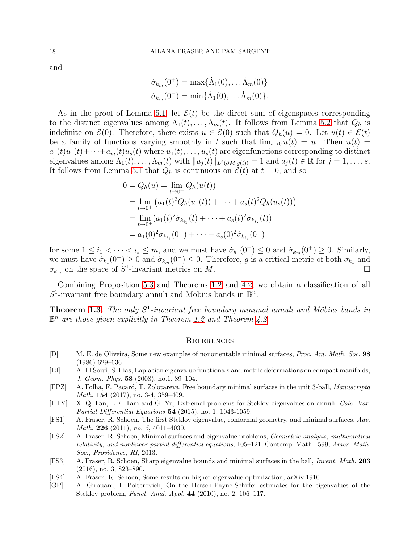and

$$
\dot{\sigma}_{k_m}(0^+) = \max{\{\dot{\Lambda}_1(0), \dots \dot{\Lambda}_m(0)\}}
$$

$$
\dot{\sigma}_{k_m}(0^-) = \min{\{\dot{\Lambda}_1(0), \dots \dot{\Lambda}_m(0)\}}.
$$

As in the proof of Lemma [5.1,](#page-15-0) let  $\mathcal{E}(t)$  be the direct sum of eigenspaces corresponding to the distinct eigenvalues among  $\Lambda_1(t), \ldots, \Lambda_m(t)$ . It follows from Lemma [5.2](#page-16-0) that  $Q_h$  is indefinite on  $\mathcal{E}(0)$ . Therefore, there exists  $u \in \mathcal{E}(0)$  such that  $Q_h(u) = 0$ . Let  $u(t) \in \mathcal{E}(t)$ be a family of functions varying smoothly in t such that  $\lim_{t\to 0} u(t) = u$ . Then  $u(t) =$  $a_1(t)u_1(t)+\cdots+a_m(t)u_s(t)$  where  $u_1(t),\ldots,u_s(t)$  are eigenfunctions corresponding to distinct eigenvalues among  $\Lambda_1(t), \ldots, \Lambda_m(t)$  with  $||u_j(t)||_{L^2(\partial M, g(t))} = 1$  and  $a_j(t) \in \mathbb{R}$  for  $j = 1, \ldots, s$ . It follows from Lemma [5.1](#page-15-0) that  $Q_h$  is continuous on  $\mathcal{E}(t)$  at  $t = 0$ , and so

$$
0 = Q_h(u) = \lim_{t \to 0^+} Q_h(u(t))
$$
  
= 
$$
\lim_{t \to 0^+} (a_1(t)^2 Q_h(u_1(t)) + \dots + a_s(t)^2 Q_h(u_s(t)))
$$
  
= 
$$
\lim_{t \to 0^+} (a_1(t)^2 \dot{\sigma}_{k_{i_1}}(t) + \dots + a_s(t)^2 \dot{\sigma}_{k_{i_s}}(t))
$$
  
= 
$$
a_1(0)^2 \dot{\sigma}_{k_{i_1}}(0^+) + \dots + a_s(0)^2 \dot{\sigma}_{k_{i_s}}(0^+)
$$

for some  $1 \leq i_1 < \cdots < i_s \leq m$ , and we must have  $\sigma_{k_1}(0^+) \leq 0$  and  $\sigma_{k_m}(0^+) \geq 0$ . Similarly, we must have  $\sigma_{k_1}(0^-) \geq 0$  and  $\sigma_{k_m}(0^-) \leq 0$ . Therefore, g is a critical metric of both  $\sigma_{k_1}$  and  $\sigma_{k_m}$  on the space of  $S^1$ -invariant metrics on M.

Combining Proposition [5.3](#page-16-1) and Theorems [1.2](#page-2-0) and [4.2,](#page-13-0) we obtain a classification of all  $S^1$ -invariant free boundary annuli and Möbius bands in  $\mathbb{B}^n$ .

**Theorem [1.3.](#page-3-1)** The only  $S^1$ -invariant free boundary minimal annuli and Möbius bands in  $\mathbb{B}^n$  are those given explicitly in Theorem [1.2](#page-2-0) and Theorem [4.2.](#page-13-0)

### **REFERENCES**

- <span id="page-17-6"></span>[D] M. E. de Oliveira, Some new examples of nonorientable minimal surfaces, Proc. Am. Math. Soc. 98 (1986) 629–636.
- <span id="page-17-8"></span>[EI] A. El Soufi, S. Ilias, Laplacian eigenvalue functionals and metric deformations on compact manifolds, J. Geom. Phys. 58 (2008), no.1, 89–104.
- <span id="page-17-2"></span>[FPZ] A. Folha, F. Pacard, T. Zolotareva, Free boundary minimal surfaces in the unit 3-ball, Manuscripta Math. 154 (2017), no. 3-4, 359–409.
- <span id="page-17-1"></span>[FTY] X.-Q. Fan, L.F. Tam and G. Yu, Extremal problems for Steklov eigenvalues on annuli, Calc. Var. Partial Differential Equations 54 (2015), no. 1, 1043-1059.
- <span id="page-17-5"></span>[FS1] A. Fraser, R. Schoen, The first Steklov eigenvalue, conformal geometry, and minimal surfaces, Adv. Math. 226 (2011), no. 5, 4011-4030.
- <span id="page-17-7"></span>[FS2] A. Fraser, R. Schoen, Minimal surfaces and eigenvalue problems, Geometric analysis, mathematical relativity, and nonlinear partial differential equations, 105–121, Contemp. Math., 599, Amer. Math. Soc., Providence, RI, 2013.
- <span id="page-17-0"></span>[FS3] A. Fraser, R. Schoen, Sharp eigenvalue bounds and minimal surfaces in the ball, Invent. Math. 203 (2016), no. 3, 823–890.
- <span id="page-17-4"></span>[FS4] A. Fraser, R. Schoen, Some results on higher eigenvalue optimization, arXiv:1910..
- <span id="page-17-3"></span>[GP] A. Girouard, I. Polterovich, On the Hersch-Payne-Schiffer estimates for the eigenvalues of the Steklov problem, Funct. Anal. Appl. 44 (2010), no. 2, 106–117.